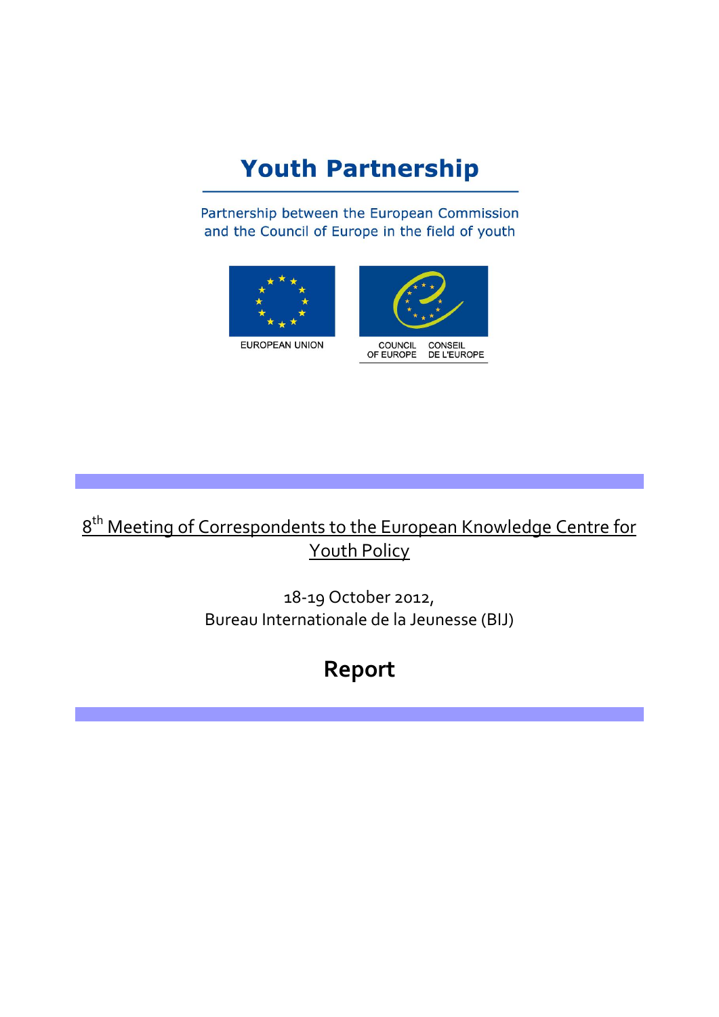# **Youth Partnership**

Partnership between the European Commission and the Council of Europe in the field of youth





# 8<sup>th</sup> Meeting of Correspondents to the European Knowledge Centre for Youth Policy

18-19 October 2012, Bureau Internationale de la Jeunesse (BIJ)

# **Report**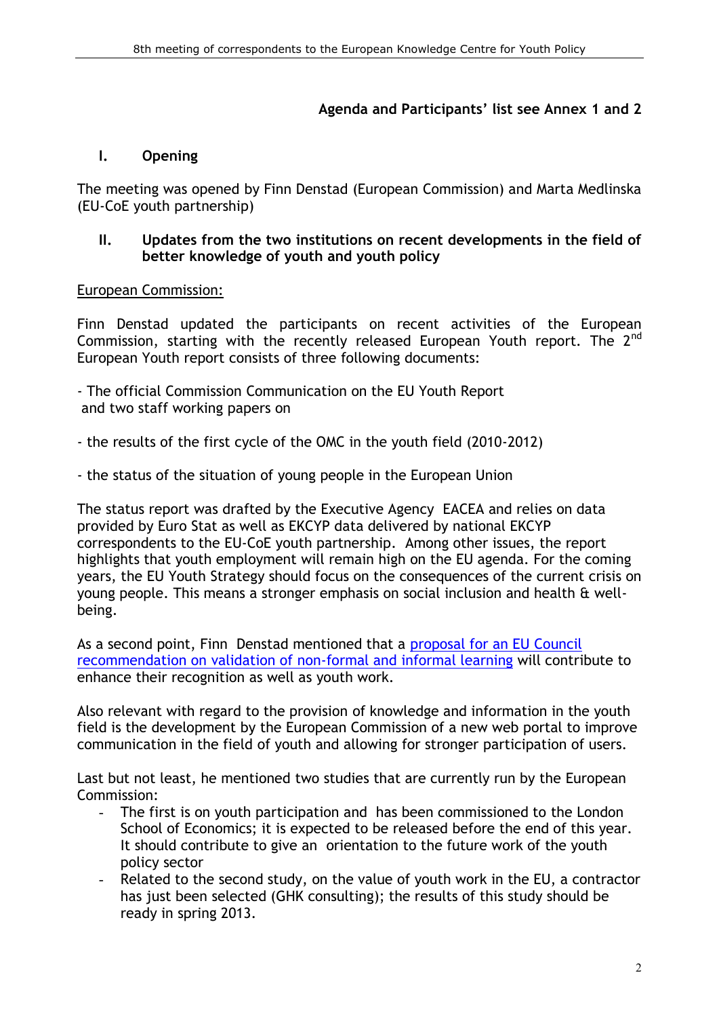### **Agenda and Participants' list see Annex 1 and 2**

### **I. Opening**

The meeting was opened by Finn Denstad (European Commission) and Marta Medlinska (EU-CoE youth partnership)

#### **II. Updates from the two institutions on recent developments in the field of better knowledge of youth and youth policy**

### European Commission:

Finn Denstad updated the participants on recent activities of the European Commission, starting with the recently released European Youth report. The  $2^{nd}$ European Youth report consists of three following documents:

- The official Commission Communication on the EU Youth Report and two staff working papers on
- the results of the first cycle of the OMC in the youth field (2010-2012)
- the status of the situation of young people in the European Union

The status report was drafted by the Executive Agency EACEA and relies on data provided by Euro Stat as well as EKCYP data delivered by national EKCYP correspondents to the EU-CoE youth partnership. Among other issues, the report highlights that youth employment will remain high on the EU agenda. For the coming years, the EU Youth Strategy should focus on the consequences of the current crisis on young people. This means a stronger emphasis on social inclusion and health & wellbeing.

As a second point, Finn Denstad mentioned that a proposal for an EU Council [recommendation on validation of non-formal and informal learning](http://ec.europa.eu/education/lifelong-learning-policy/doc/informal/proposal2012_en.pdf) will contribute to enhance their recognition as well as youth work.

Also relevant with regard to the provision of knowledge and information in the youth field is the development by the European Commission of a new web portal to improve communication in the field of youth and allowing for stronger participation of users.

Last but not least, he mentioned two studies that are currently run by the European Commission:

- The first is on youth participation and has been commissioned to the London School of Economics; it is expected to be released before the end of this year. It should contribute to give an orientation to the future work of the youth policy sector
- Related to the second study, on the value of youth work in the EU, a contractor has just been selected (GHK consulting); the results of this study should be ready in spring 2013.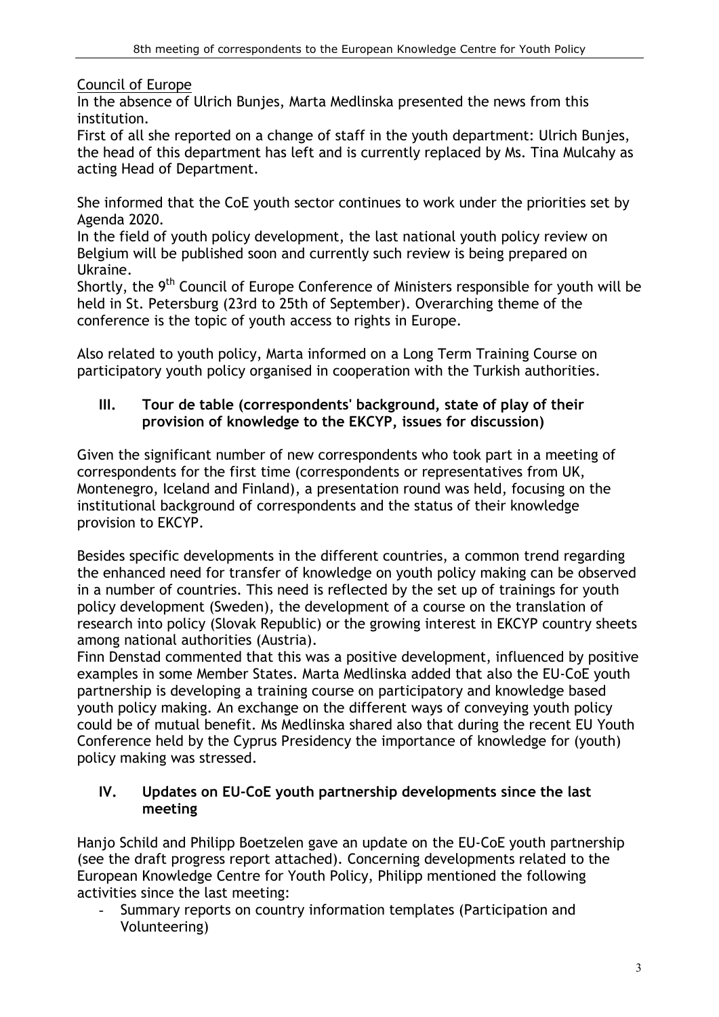Council of Europe

In the absence of Ulrich Bunjes, Marta Medlinska presented the news from this institution.

First of all she reported on a change of staff in the youth department: Ulrich Bunjes, the head of this department has left and is currently replaced by Ms. Tina Mulcahy as acting Head of Department.

She informed that the CoE youth sector continues to work under the priorities set by Agenda 2020.

In the field of youth policy development, the last national youth policy review on Belgium will be published soon and currently such review is being prepared on Ukraine.

Shortly, the 9<sup>th</sup> Council of Europe Conference of Ministers responsible for youth will be held in St. Petersburg (23rd to 25th of September). Overarching theme of the conference is the topic of youth access to rights in Europe.

Also related to youth policy, Marta informed on a Long Term Training Course on participatory youth policy organised in cooperation with the Turkish authorities.

### **III. Tour de table (correspondents' background, state of play of their provision of knowledge to the EKCYP, issues for discussion)**

Given the significant number of new correspondents who took part in a meeting of correspondents for the first time (correspondents or representatives from UK, Montenegro, Iceland and Finland), a presentation round was held, focusing on the institutional background of correspondents and the status of their knowledge provision to EKCYP.

Besides specific developments in the different countries, a common trend regarding the enhanced need for transfer of knowledge on youth policy making can be observed in a number of countries. This need is reflected by the set up of trainings for youth policy development (Sweden), the development of a course on the translation of research into policy (Slovak Republic) or the growing interest in EKCYP country sheets among national authorities (Austria).

Finn Denstad commented that this was a positive development, influenced by positive examples in some Member States. Marta Medlinska added that also the EU-CoE youth partnership is developing a training course on participatory and knowledge based youth policy making. An exchange on the different ways of conveying youth policy could be of mutual benefit. Ms Medlinska shared also that during the recent EU Youth Conference held by the Cyprus Presidency the importance of knowledge for (youth) policy making was stressed.

### **IV. Updates on EU-CoE youth partnership developments since the last meeting**

Hanjo Schild and Philipp Boetzelen gave an update on the EU-CoE youth partnership (see the draft progress report attached). Concerning developments related to the European Knowledge Centre for Youth Policy, Philipp mentioned the following activities since the last meeting:

Summary reports on country information templates (Participation and Volunteering)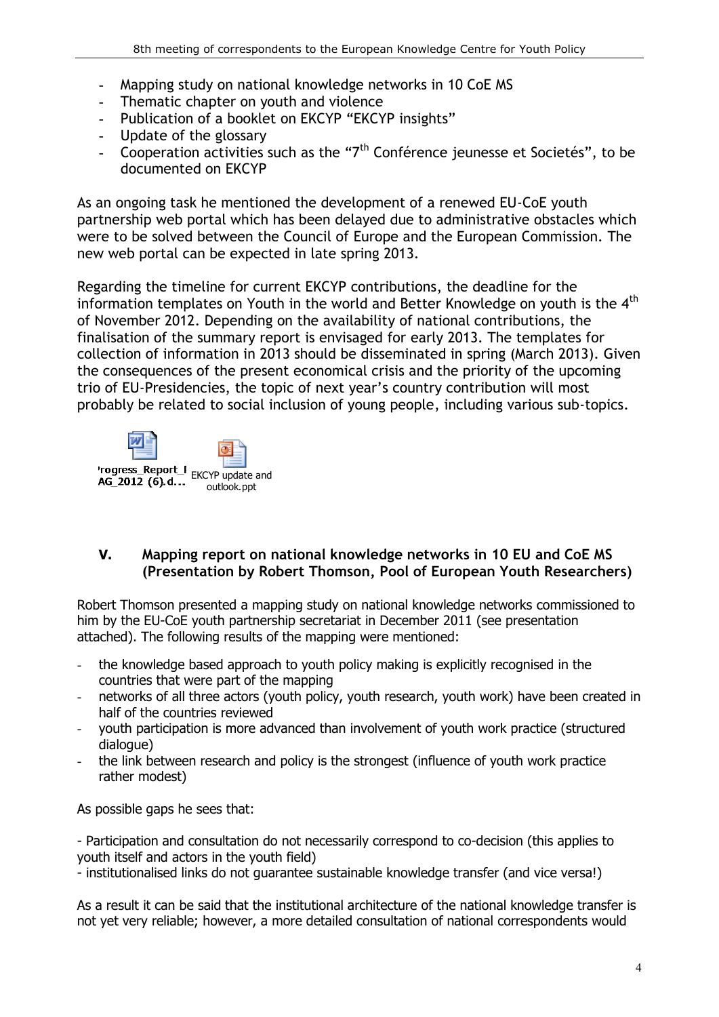- Mapping study on national knowledge networks in 10 CoE MS
- Thematic chapter on youth and violence
- Publication of a booklet on EKCYP "EKCYP insights"
- Update of the glossary
- Cooperation activities such as the " $7<sup>th</sup>$  Conférence jeunesse et Societés", to be documented on EKCYP

As an ongoing task he mentioned the development of a renewed EU-CoE youth partnership web portal which has been delayed due to administrative obstacles which were to be solved between the Council of Europe and the European Commission. The new web portal can be expected in late spring 2013.

Regarding the timeline for current EKCYP contributions, the deadline for the information templates on Youth in the world and Better Knowledge on youth is the  $4<sup>th</sup>$ of November 2012. Depending on the availability of national contributions, the finalisation of the summary report is envisaged for early 2013. The templates for collection of information in 2013 should be disseminated in spring (March 2013). Given the consequences of the present economical crisis and the priority of the upcoming trio of EU-Presidencies, the topic of next year's country contribution will most probably be related to social inclusion of young people, including various sub-topics.



### **V. Mapping report on national knowledge networks in 10 EU and CoE MS (Presentation by Robert Thomson, Pool of European Youth Researchers)**

Robert Thomson presented a mapping study on national knowledge networks commissioned to him by the EU-CoE youth partnership secretariat in December 2011 (see presentation attached). The following results of the mapping were mentioned:

- the knowledge based approach to youth policy making is explicitly recognised in the countries that were part of the mapping
- networks of all three actors (youth policy, youth research, youth work) have been created in half of the countries reviewed
- youth participation is more advanced than involvement of youth work practice (structured dialogue)
- the link between research and policy is the strongest (influence of youth work practice rather modest)

As possible gaps he sees that:

- Participation and consultation do not necessarily correspond to co-decision (this applies to youth itself and actors in the youth field)

- institutionalised links do not guarantee sustainable knowledge transfer (and vice versa!)

As a result it can be said that the institutional architecture of the national knowledge transfer is not yet very reliable; however, a more detailed consultation of national correspondents would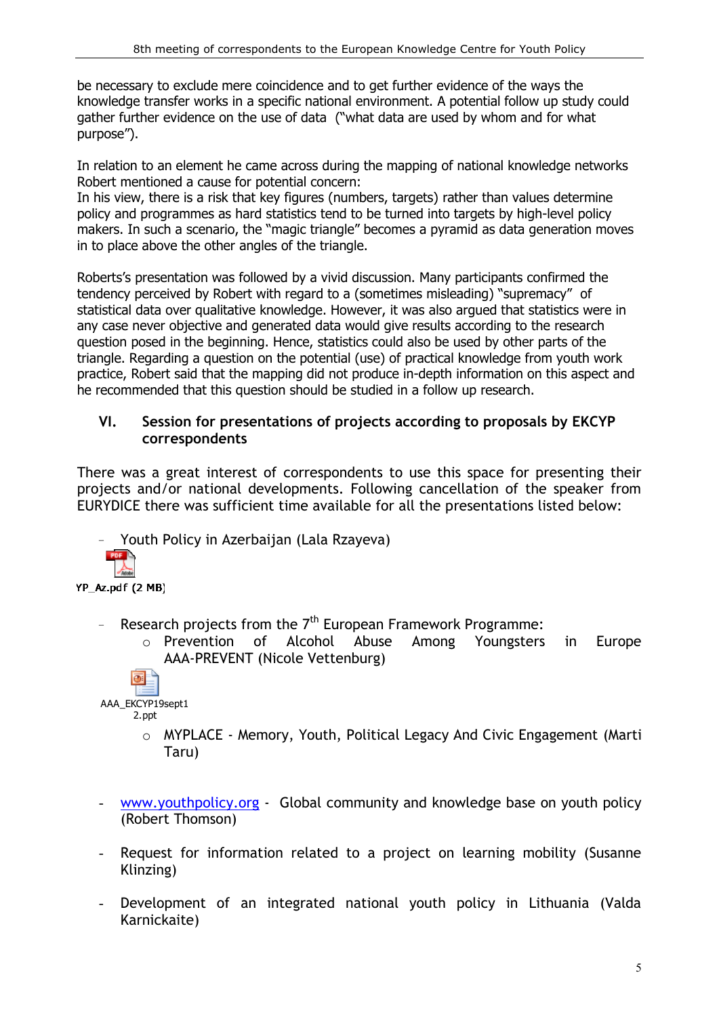be necessary to exclude mere coincidence and to get further evidence of the ways the knowledge transfer works in a specific national environment. A potential follow up study could gather further evidence on the use of data ("what data are used by whom and for what purpose").

In relation to an element he came across during the mapping of national knowledge networks Robert mentioned a cause for potential concern:

In his view, there is a risk that key figures (numbers, targets) rather than values determine policy and programmes as hard statistics tend to be turned into targets by high-level policy makers. In such a scenario, the "magic triangle" becomes a pyramid as data generation moves in to place above the other angles of the triangle.

Roberts's presentation was followed by a vivid discussion. Many participants confirmed the tendency perceived by Robert with regard to a (sometimes misleading) "supremacy" of statistical data over qualitative knowledge. However, it was also argued that statistics were in any case never objective and generated data would give results according to the research question posed in the beginning. Hence, statistics could also be used by other parts of the triangle. Regarding a question on the potential (use) of practical knowledge from youth work practice, Robert said that the mapping did not produce in-depth information on this aspect and he recommended that this question should be studied in a follow up research.

#### **VI. Session for presentations of projects according to proposals by EKCYP correspondents**

There was a great interest of correspondents to use this space for presenting their projects and/or national developments. Following cancellation of the speaker from EURYDICE there was sufficient time available for all the presentations listed below:

Youth Policy in Azerbaijan (Lala Rzayeva) YP\_Az.pdf (2 MB)

- Research projects from the  $7<sup>th</sup>$  European Framework Programme:
	- o Prevention of Alcohol Abuse Among Youngsters in Europe AAA-PREVENT (Nicole Vettenburg)

同 AAA\_EKCYP19sept1 2.ppt

- o MYPLACE Memory, Youth, Political Legacy And Civic Engagement (Marti Taru)
- [www.youthpolicy.org](http://www.youthpolicy.org/) Global community and knowledge base on youth policy (Robert Thomson)
- Request for information related to a project on learning mobility (Susanne Klinzing)
- Development of an integrated national youth policy in Lithuania (Valda Karnickaite)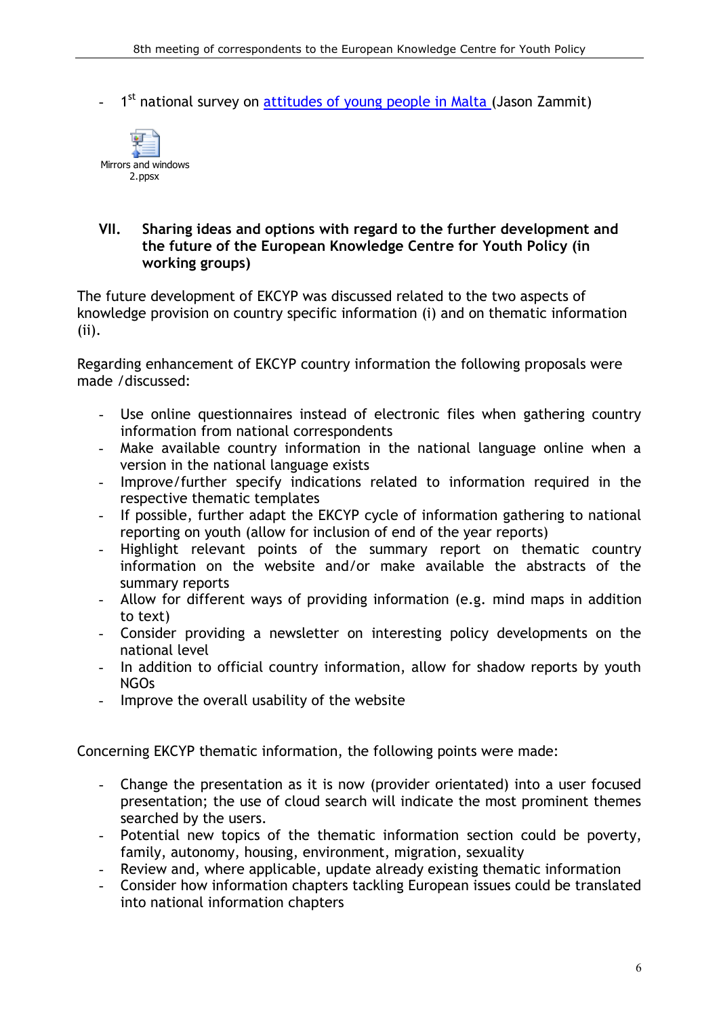- 1<sup>st</sup> national survey on [attitudes of young people in Malta \(](http://youth-partnership-eu.coe.int/youth-partnership/documents/Research/Mirrors_and_Windows_Report_Web_version_C.pdf)Jason Zammit)



#### **VII. Sharing ideas and options with regard to the further development and the future of the European Knowledge Centre for Youth Policy (in working groups)**

The future development of EKCYP was discussed related to the two aspects of knowledge provision on country specific information (i) and on thematic information (ii).

Regarding enhancement of EKCYP country information the following proposals were made /discussed:

- Use online questionnaires instead of electronic files when gathering country information from national correspondents
- Make available country information in the national language online when a version in the national language exists
- Improve/further specify indications related to information required in the respective thematic templates
- If possible, further adapt the EKCYP cycle of information gathering to national reporting on youth (allow for inclusion of end of the year reports)
- Highlight relevant points of the summary report on thematic country information on the website and/or make available the abstracts of the summary reports
- Allow for different ways of providing information (e.g. mind maps in addition to text)
- Consider providing a newsletter on interesting policy developments on the national level
- In addition to official country information, allow for shadow reports by youth NGOs
- Improve the overall usability of the website

Concerning EKCYP thematic information, the following points were made:

- Change the presentation as it is now (provider orientated) into a user focused presentation; the use of cloud search will indicate the most prominent themes searched by the users.
- Potential new topics of the thematic information section could be poverty, family, autonomy, housing, environment, migration, sexuality
- Review and, where applicable, update already existing thematic information
- Consider how information chapters tackling European issues could be translated into national information chapters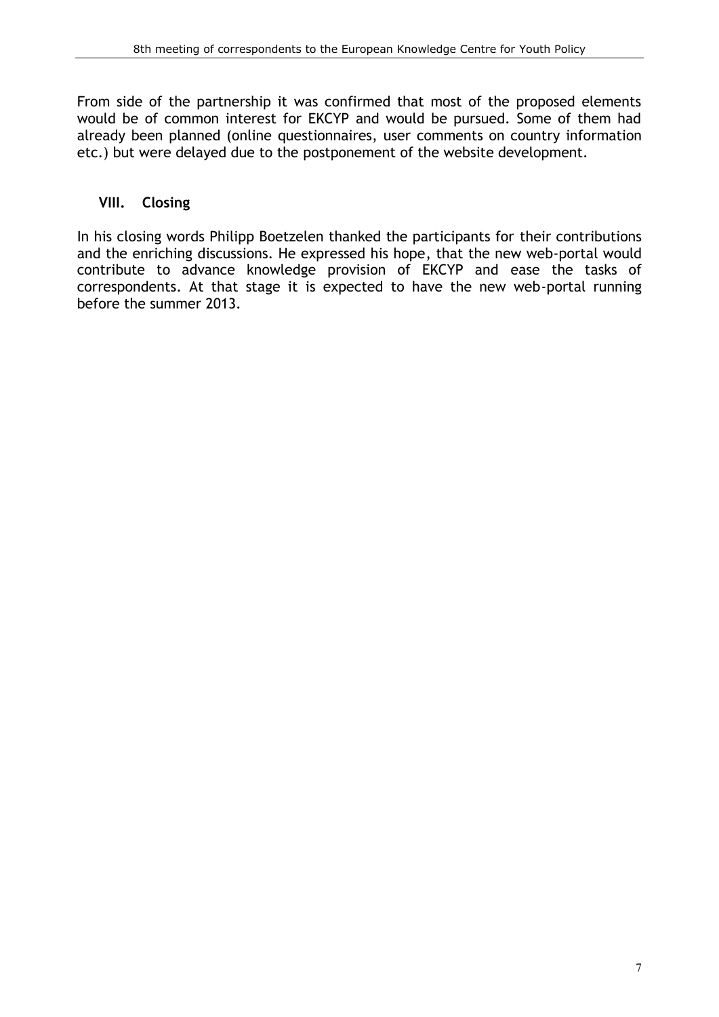From side of the partnership it was confirmed that most of the proposed elements would be of common interest for EKCYP and would be pursued. Some of them had already been planned (online questionnaires, user comments on country information etc.) but were delayed due to the postponement of the website development.

#### **VIII. Closing**

In his closing words Philipp Boetzelen thanked the participants for their contributions and the enriching discussions. He expressed his hope, that the new web-portal would contribute to advance knowledge provision of EKCYP and ease the tasks of correspondents. At that stage it is expected to have the new web-portal running before the summer 2013.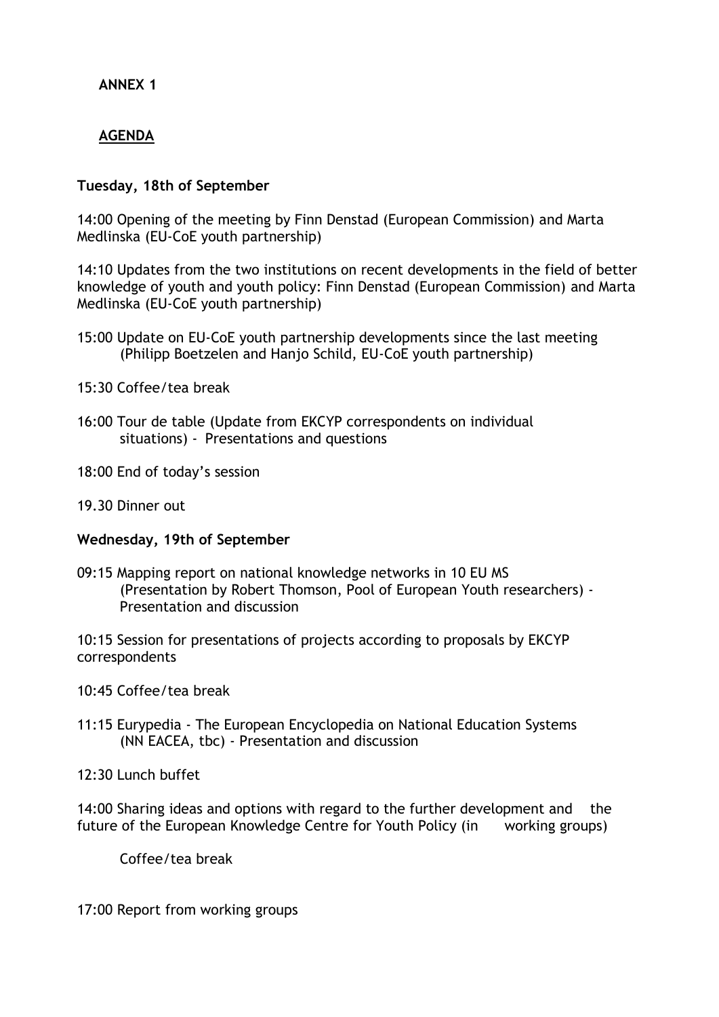### **ANNEX 1**

### **AGENDA**

#### **Tuesday, 18th of September**

14:00 Opening of the meeting by Finn Denstad (European Commission) and Marta Medlinska (EU-CoE youth partnership)

14:10 Updates from the two institutions on recent developments in the field of better knowledge of youth and youth policy: Finn Denstad (European Commission) and Marta Medlinska (EU-CoE youth partnership)

- 15:00 Update on EU-CoE youth partnership developments since the last meeting (Philipp Boetzelen and Hanjo Schild, EU-CoE youth partnership)
- 15:30 Coffee/tea break
- 16:00 Tour de table (Update from EKCYP correspondents on individual situations) - Presentations and questions
- 18:00 End of today's session
- 19.30 Dinner out

#### **Wednesday, 19th of September**

09:15 Mapping report on national knowledge networks in 10 EU MS (Presentation by Robert Thomson, Pool of European Youth researchers) - Presentation and discussion

10:15 Session for presentations of projects according to proposals by EKCYP correspondents

10:45 Coffee/tea break

11:15 Eurypedia - The European Encyclopedia on National Education Systems (NN EACEA, tbc) - Presentation and discussion

12:30 Lunch buffet

14:00 Sharing ideas and options with regard to the further development and the future of the European Knowledge Centre for Youth Policy (in working groups)

Coffee/tea break

17:00 Report from working groups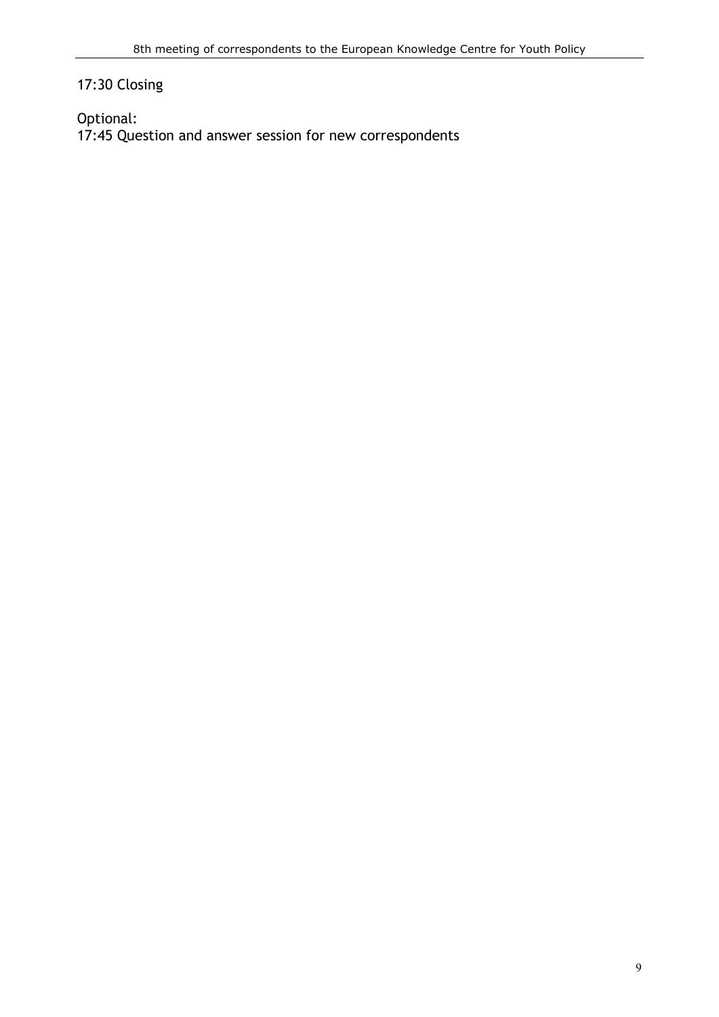## 17:30 Closing

Optional: 17:45 Question and answer session for new correspondents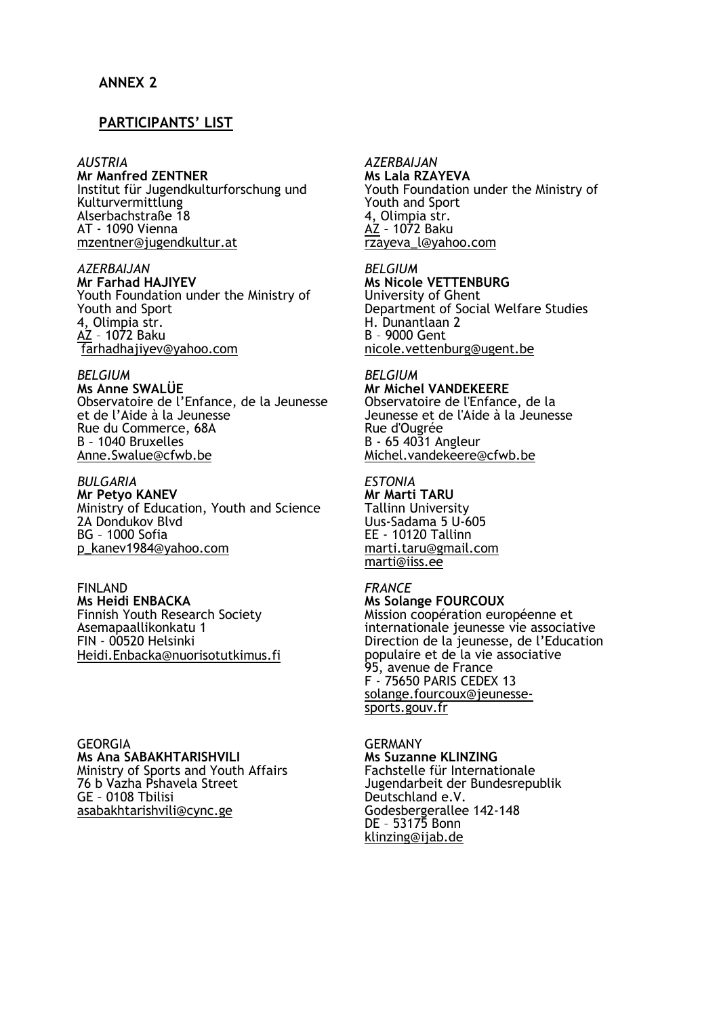#### **PARTICIPANTS' LIST**

#### *AUSTRIA*

**Mr Manfred ZENTNER**  Institut für Jugendkulturforschung und Kulturvermittlung Alserbachstraße 18 AT - 1090 Vienna [mzentner@jugendkultur.at](mailto:mzentner@jugendkultur.at)

*AZERBAIJAN* **Mr Farhad HAJIYEV**  Youth Foundation under the Ministry of Youth and Sport 4, Olimpia str. [AZ](mailto:mzentner@jugendkultur.at) – 1072 Baku [farhadhajiyev@yahoo.com](mailto:rzayeva_l@yahoo.com)

#### *BELGIUM*

**Ms Anne SWALÜE** Observatoire de l'Enfance, de la Jeunesse et de l'Aide à la Jeunesse Rue du Commerce, 68A B – 1040 Bruxelles Anne.Swalue@cfwb.be

*BULGARIA*

**Mr Petyo KANEV** Ministry of Education, Youth and Science 2A Dondukov Blvd BG – 1000 Sofia [p\\_kanev1984@yahoo.com](mailto:p_kanev1984@yahoo.com)

FINLAND **Ms Heidi ENBACKA**  Finnish Youth Research Society Asemapaallikonkatu 1 FIN - 00520 Helsinki Heidi.Enbacka@nuorisotutkimus.fi

GEORGIA **Ms Ana SABAKHTARISHVILI**  Ministry of Sports and Youth Affairs 76 b Vazha Pshavela Street GE – 0108 Tbilisi asabakhtarishvili@cync.ge

#### *AZERBAIJAN*

**Ms Lala RZAYEVA**  Youth Foundation under the Ministry of Youth and Sport 4, Olimpia str. [AZ](mailto:mzentner@jugendkultur.at) – 1072 Baku [rzayeva\\_l@yahoo.com](mailto:rzayeva_l@yahoo.com)

*BELGIUM* **Ms Nicole VETTENBURG**  University of Ghent Department of Social Welfare Studies H. Dunantlaan 2 B – 9000 Gent [nicole.vettenburg@ugent.be](mailto:nicole.vettenburg@ugent.be)

#### *BELGIUM*

**Mr Michel VANDEKEERE**  Observatoire de l'Enfance, de la Jeunesse et de l'Aide à la Jeunesse Rue d'Ougrée B - 65 4031 Angleur [Michel.vandekeere@cfwb.be](mailto:Michel.vandekeere@cfwb.be)

*ESTONIA* **Mr Marti TARU**  Tallinn University Uus-Sadama 5 U-605 EE - 10120 Tallinn [marti.taru@gmail.com](mailto:marti@iiss.ee) [marti@iiss.ee](mailto:marti@iiss.ee)

#### *FRANCE*

**Ms Solange FOURCOUX**  Mission coopération européenne et internationale jeunesse vie associative Direction de la jeunesse, de l'Education populaire et de la vie associative 95, avenue de France F - 75650 PARIS CEDEX 13 [solange.fourcoux@jeunesse](mailto:solange.fourcoux@jeunesse-sports.gouv.fr)[sports.gouv.fr](mailto:solange.fourcoux@jeunesse-sports.gouv.fr)

GERMANY **Ms Suzanne KLINZING** Fachstelle für Internationale Jugendarbeit der Bundesrepublik Deutschland e.V. Godesbergerallee 142-148 DE – 53175 Bonn [klinzing@ijab.de](mailto:klinzing@ijab.de)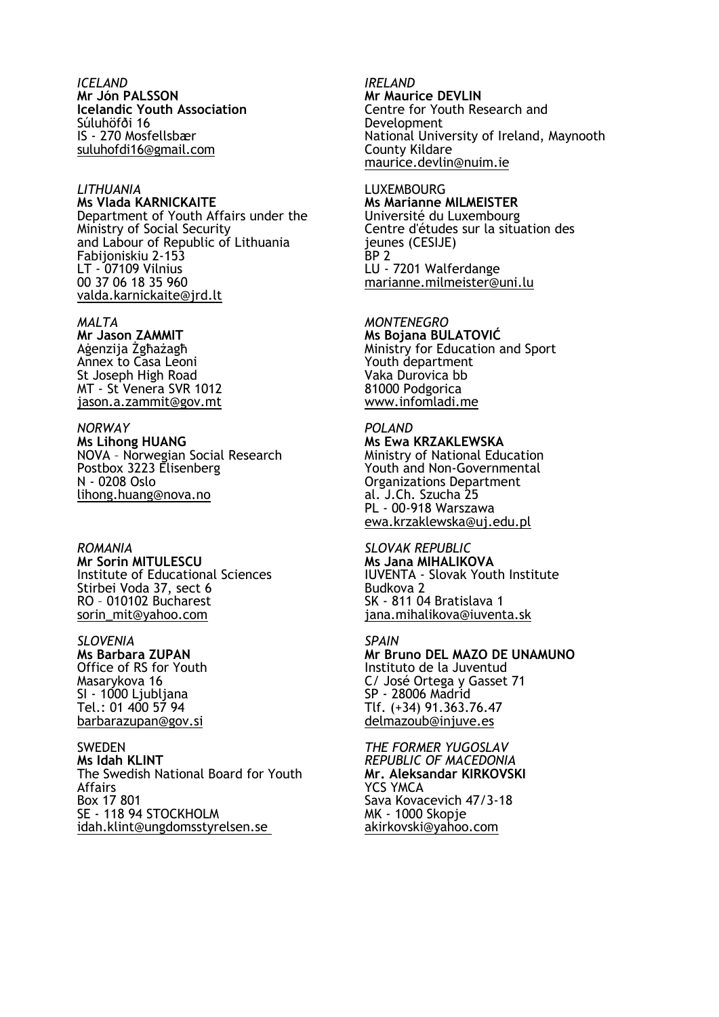*ICELAND* **Mr Jón PALSSON Icelandic Youth Association**  Súluhöfði 16 IS - 270 Mosfellsbær [suluhofdi16@gmail.com](mailto:suluhofdi16@gmail.com)

#### *LITHUANIA*

**Ms Vlada KARNICKAITE**  Department of Youth Affairs under the Ministry of Social Security and Labour of Republic of Lithuania Fabijoniskiu 2-153 LT - 07109 Vilnius 00 37 06 18 35 960 [valda.karnickaite@jrd.lt](mailto:valda.karnickaite@jrd.lt)

*MALTA* **Mr Jason ZAMMIT**  Aġenzija Żgħażagħ Annex to Casa Leoni St Joseph High Road MT - St Venera SVR 1012 [jason.a.zammit@gov.mt](mailto:jason.a.zammit@gov.mt)

#### *NORWAY*

**Ms Lihong HUANG**  NOVA – Norwegian Social Research Postbox 3223 Elisenberg N - 0208 Oslo [lihong.huang@nova.no](mailto:lihong.huang@nova.no)

*ROMANIA*

**Mr Sorin MITULESCU**  Institute of Educational Sciences Stirbei Voda 37, sect 6 RO – 010102 Bucharest [sorin\\_mit@yahoo.com](mailto:sorin_mit@yahoo.com)

*SLOVENIA*

**Ms Barbara ZUPAN** Office of RS for Youth Masarykova 16 SI - 1000 Ljubljana Tel.: 01 400 57 94 [barbarazupan@gov.si](mailto:barbarazupan@gov.si)

**SWEDEN Ms Idah KLINT**  The Swedish National Board for Youth Affairs Box 17 801 SE - 118 94 STOCKHOLM [idah.klint@ungdomsstyrelsen.se](mailto:idah.klint@ungdomsstyrelsen.se)

*IRELAND* **Mr Maurice DEVLIN**  Centre for Youth Research and Development National University of Ireland, Maynooth County Kildare [maurice.devlin@nuim.ie](mailto:maurice.devlin@nuim.ie)

LUXEMBOURG **Ms Marianne MILMEISTER**  Université du Luxembourg Centre d'études sur la situation des jeunes (CESIJE)  $BP<sub>2</sub>$ LU - 7201 Walferdange [marianne.milmeister@uni.lu](mailto:marianne.milmeister@uni.lu)

*MONTENEGRO* **Ms Bojana BULATOVIĆ** Ministry for Education and Sport Youth department Vaka Durovica bb 81000 Podgorica www.infomladi.me

*POLAND* **Ms Ewa KRZAKLEWSKA** Ministry of National Education Youth and Non-Governmental Organizations Department al. J.Ch. Szucha 25 PL - 00-918 Warszawa [ewa.krzaklewska@uj.edu.pl](mailto:ewa.krzaklewska@uj.edu.pl)

*SLOVAK REPUBLIC* **Ms Jana MIHALIKOVA**  IUVENTA - Slovak Youth Institute Budkova 2 SK - 811 04 Bratislava 1 [jana.mihalikova@iuventa.sk](mailto:jana.mihalikova@iuventa.sk)

*SPAIN* **Mr Bruno DEL MAZO DE UNAMUNO** Instituto de la Juventud C/ José Ortega y Gasset 71 SP - 28006 Madrid Tlf. (+34) 91.363.76.47 [delmazoub@injuve.es](mailto:delmazoub@injuve.es)

*THE FORMER YUGOSLAV REPUBLIC OF MACEDONIA* **Mr. Aleksandar KIRKOVSKI**  YCS YMCA Sava Kovacevich 47/3-18 MK - 1000 Skopje [akirkovski@yahoo.com](mailto:akirkovski@yahoo.com)